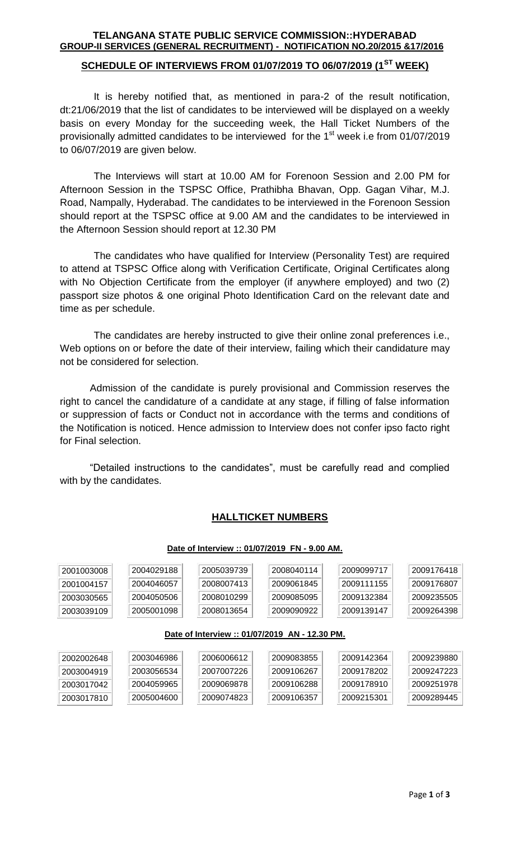## **TELANGANA STATE PUBLIC SERVICE COMMISSION::HYDERABAD GROUP-II SERVICES (GENERAL RECRUITMENT) - NOTIFICATION NO.20/2015 &17/2016**

## **SCHEDULE OF INTERVIEWS FROM 01/07/2019 TO 06/07/2019 (1ST WEEK)**

It is hereby notified that, as mentioned in para-2 of the result notification, dt:21/06/2019 that the list of candidates to be interviewed will be displayed on a weekly basis on every Monday for the succeeding week, the Hall Ticket Numbers of the provisionally admitted candidates to be interviewed for the  $1<sup>st</sup>$  week i.e from 01/07/2019 to 06/07/2019 are given below.

The Interviews will start at 10.00 AM for Forenoon Session and 2.00 PM for Afternoon Session in the TSPSC Office, Prathibha Bhavan, Opp. Gagan Vihar, M.J. Road, Nampally, Hyderabad. The candidates to be interviewed in the Forenoon Session should report at the TSPSC office at 9.00 AM and the candidates to be interviewed in the Afternoon Session should report at 12.30 PM

The candidates who have qualified for Interview (Personality Test) are required to attend at TSPSC Office along with Verification Certificate, Original Certificates along with No Objection Certificate from the employer (if anywhere employed) and two (2) passport size photos & one original Photo Identification Card on the relevant date and time as per schedule.

The candidates are hereby instructed to give their online zonal preferences i.e., Web options on or before the date of their interview, failing which their candidature may not be considered for selection.

Admission of the candidate is purely provisional and Commission reserves the right to cancel the candidature of a candidate at any stage, if filling of false information or suppression of facts or Conduct not in accordance with the terms and conditions of the Notification is noticed. Hence admission to Interview does not confer ipso facto right for Final selection.

"Detailed instructions to the candidates", must be carefully read and complied with by the candidates.

## **HALLTICKET NUMBERS**

### **Date of Interview :: 01/07/2019 FN - 9.00 AM.**

| 2001003008<br>2001004157<br>2003030565<br>2003039109 | 2004029188<br>2004046057<br>2004050506<br>2005001098 | 2005039739<br>2008007413<br>2008010299<br>2008013654 | 2008040114<br>2009061845<br>2009085095<br>2009090922 | 2009099717<br>2009111155<br>2009132384<br>2009139147 | 2009176418<br>2009176807<br>2009235505<br>2009264398 |  |  |  |
|------------------------------------------------------|------------------------------------------------------|------------------------------------------------------|------------------------------------------------------|------------------------------------------------------|------------------------------------------------------|--|--|--|
| Date of Interview :: 01/07/2019 AN - 12.30 PM.       |                                                      |                                                      |                                                      |                                                      |                                                      |  |  |  |
| 2002002648                                           | 2003046986                                           | 2006006612                                           | 2009083855                                           | 2009142364                                           | 2009239880                                           |  |  |  |
| 2003004919                                           | 2003056534                                           | 2007007226                                           | 2009106267                                           | 2009178202                                           | 2009247223                                           |  |  |  |
| 2003017042                                           | 2004059965                                           | 2009069878                                           | 2009106288                                           | 2009178910                                           | 2009251978                                           |  |  |  |
| 2003017810                                           | 2005004600                                           | 2009074823                                           | 2009106357                                           | 2009215301                                           | 2009289445                                           |  |  |  |
|                                                      |                                                      |                                                      |                                                      |                                                      |                                                      |  |  |  |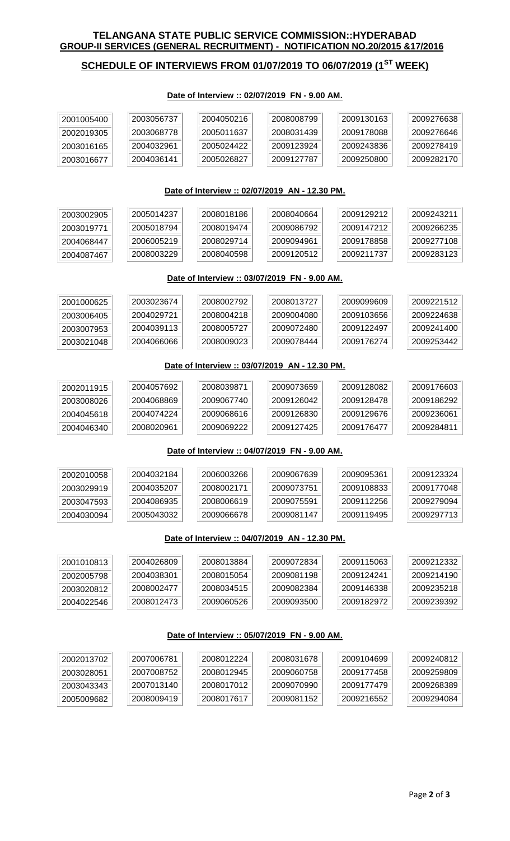## **TELANGANA STATE PUBLIC SERVICE COMMISSION::HYDERABAD GROUP-II SERVICES (GENERAL RECRUITMENT) - NOTIFICATION NO.20/2015 &17/2016**

# **SCHEDULE OF INTERVIEWS FROM 01/07/2019 TO 06/07/2019 (1ST WEEK)**

#### **Date of Interview :: 02/07/2019 FN - 9.00 AM.**

| 2001005400                       | 2003056737 | 2004050216            | 2008008799 | 2009130163 | 2009276638 |
|----------------------------------|------------|-----------------------|------------|------------|------------|
| $^{\circ}$ 2002019305 $^{\circ}$ | 2003068778 | 2005011637            | 2008031439 | 2009178088 | 2009276646 |
| 2003016165                       | 2004032961 | $^{\circ}$ 2005024422 | 2009123924 | 2009243836 | 2009278419 |
| 2003016677                       | 2004036141 | 2005026827            | 2009127787 | 2009250800 | 2009282170 |

### **Date of Interview :: 02/07/2019 AN - 12.30 PM.**

| 2003002905 | 2005014237 | 2008018186 | 2008040664 | 2009129212 | 2009243211 |
|------------|------------|------------|------------|------------|------------|
| 2003019771 | 2005018794 | 2008019474 | 2009086792 | 2009147212 | 2009266235 |
| 2004068447 | 2006005219 | 2008029714 | 2009094961 | 2009178858 | 2009277108 |
| 2004087467 | 2008003229 | 2008040598 | 2009120512 | 2009211737 | 2009283123 |

## **Date of Interview :: 03/07/2019 FN - 9.00 AM.**

| 2001000625 | 2003023674 | 2008002792 | .2008013727 | 2009099609 | 2009221512 |
|------------|------------|------------|-------------|------------|------------|
| 2003006405 | 2004029721 | 2008004218 | 2009004080  | 2009103656 | 2009224638 |
| 2003007953 | 2004039113 | 2008005727 | 2009072480  | 2009122497 | 2009241400 |
| 2003021048 | 2004066066 | 2008009023 | 2009078444  | 2009176274 | 2009253442 |

#### **Date of Interview :: 03/07/2019 AN - 12.30 PM.**

| $^{\circ}$ 2002011915 | 2004057692 | 2008039871 | 2009073659 | 2009128082 | 2009176603 |
|-----------------------|------------|------------|------------|------------|------------|
| 2003008026            | 2004068869 | 2009067740 | 2009126042 | 2009128478 | 2009186292 |
| 2004045618            | 2004074224 | 2009068616 | 2009126830 | 2009129676 | 2009236061 |
| 2004046340            | 2008020961 | 2009069222 | 2009127425 | 2009176477 | 2009284811 |

#### **Date of Interview :: 04/07/2019 FN - 9.00 AM.**

| 2002010058 | 2004032184 | 2006003266 | 2009067639 | 2009095361 | 2009123324 |
|------------|------------|------------|------------|------------|------------|
| 2003029919 | 2004035207 | 2008002171 | 2009073751 | 2009108833 | 2009177048 |
| 2003047593 | 2004086935 | 2008006619 | 2009075591 | 2009112256 | 2009279094 |
| 2004030094 | 2005043032 | 2009066678 | 2009081147 | 2009119495 | 2009297713 |

#### **Date of Interview :: 04/07/2019 AN - 12.30 PM.**

| $^{\circ}$ 2001010813 $^{\circ}$ | 2004026809   | 2008013884 | 2009072834 | 2009115063 | 2009212332 |
|----------------------------------|--------------|------------|------------|------------|------------|
| 2002005798                       | 2004038301   | 2008015054 | 2009081198 | 2009124241 | 2009214190 |
| 2003020812                       | 2008002477   | 2008034515 | 2009082384 | 2009146338 | 2009235218 |
| 2004022546                       | 12008012473⊤ | 2009060526 | 2009093500 | 2009182972 | 2009239392 |

#### **Date of Interview :: 05/07/2019 FN - 9.00 AM.**

| 2002013702 | 2007006781 | 2008012224 | 2008031678 | 2009104699 | 2009240812 |
|------------|------------|------------|------------|------------|------------|
| 2003028051 | 2007008752 | 2008012945 | 2009060758 | 2009177458 | 2009259809 |
| 2003043343 | 2007013140 | 2008017012 | 2009070990 | 2009177479 | 2009268389 |
| 2005009682 | 2008009419 | 2008017617 | 2009081152 | 2009216552 | 2009294084 |